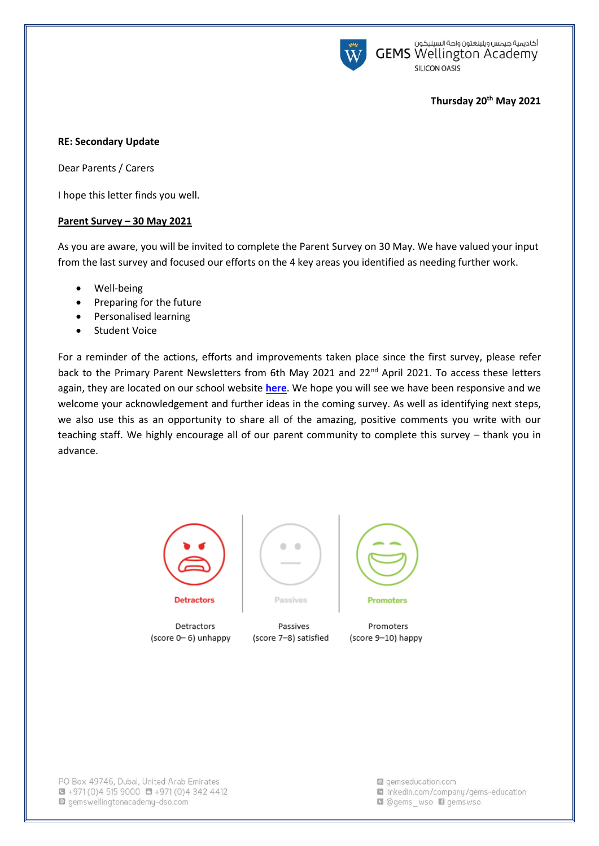

أكاديمية جيمس ويلينغتون واحة السيليكون<br>GEMS Wellington Academy **SILICON OASIS** 

### **Thursday 20th May 2021**

#### **RE: Secondary Update**

Dear Parents / Carers

I hope this letter finds you well.

#### **Parent Survey – 30 May 2021**

As you are aware, you will be invited to complete the Parent Survey on 30 May. We have valued your input from the last survey and focused our efforts on the 4 key areas you identified as needing further work.

- Well-being
- Preparing for the future
- Personalised learning
- Student Voice

For a reminder of the actions, efforts and improvements taken place since the first survey, please refer back to the Primary Parent Newsletters from 6th May 2021 and 22<sup>nd</sup> April 2021. To access these letters again, they are located on our school website **[here](https://www.gemswellingtonacademy-dso.com/For-Parents/Parent-Communication)**. We hope you will see we have been responsive and we welcome your acknowledgement and further ideas in the coming survey. As well as identifying next steps, we also use this as an opportunity to share all of the amazing, positive comments you write with our teaching staff. We highly encourage all of our parent community to complete this survey – thank you in advance.



Passives (score 0-6) unhappy (score 7-8) satisfied

Promoters (score 9-10) happy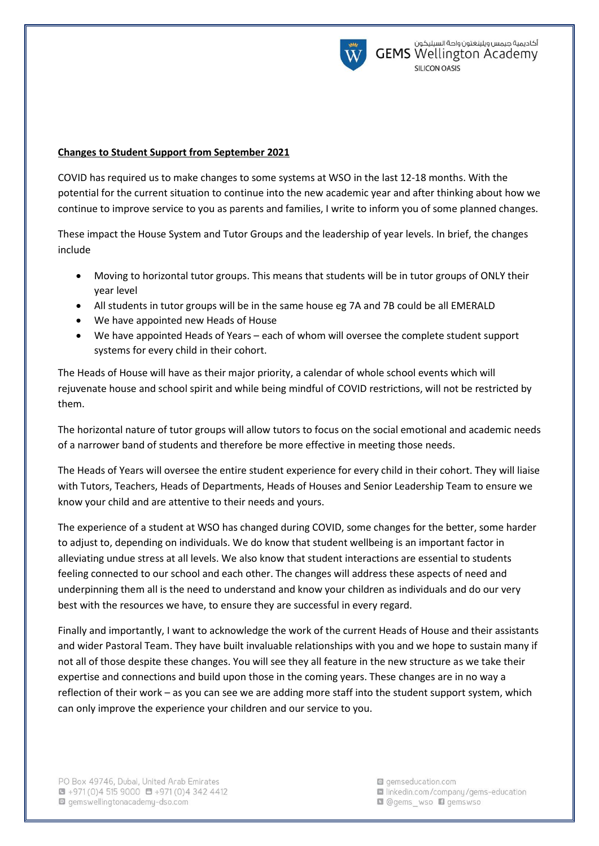

# **Changes to Student Support from September 2021**

COVID has required us to make changes to some systems at WSO in the last 12-18 months. With the potential for the current situation to continue into the new academic year and after thinking about how we continue to improve service to you as parents and families, I write to inform you of some planned changes.

These impact the House System and Tutor Groups and the leadership of year levels. In brief, the changes include

- Moving to horizontal tutor groups. This means that students will be in tutor groups of ONLY their year level
- All students in tutor groups will be in the same house eg 7A and 7B could be all EMERALD
- We have appointed new Heads of House
- We have appointed Heads of Years each of whom will oversee the complete student support systems for every child in their cohort.

The Heads of House will have as their major priority, a calendar of whole school events which will rejuvenate house and school spirit and while being mindful of COVID restrictions, will not be restricted by them.

The horizontal nature of tutor groups will allow tutors to focus on the social emotional and academic needs of a narrower band of students and therefore be more effective in meeting those needs.

The Heads of Years will oversee the entire student experience for every child in their cohort. They will liaise with Tutors, Teachers, Heads of Departments, Heads of Houses and Senior Leadership Team to ensure we know your child and are attentive to their needs and yours.

The experience of a student at WSO has changed during COVID, some changes for the better, some harder to adjust to, depending on individuals. We do know that student wellbeing is an important factor in alleviating undue stress at all levels. We also know that student interactions are essential to students feeling connected to our school and each other. The changes will address these aspects of need and underpinning them all is the need to understand and know your children as individuals and do our very best with the resources we have, to ensure they are successful in every regard.

Finally and importantly, I want to acknowledge the work of the current Heads of House and their assistants and wider Pastoral Team. They have built invaluable relationships with you and we hope to sustain many if not all of those despite these changes. You will see they all feature in the new structure as we take their expertise and connections and build upon those in the coming years. These changes are in no way a reflection of their work – as you can see we are adding more staff into the student support system, which can only improve the experience your children and our service to you.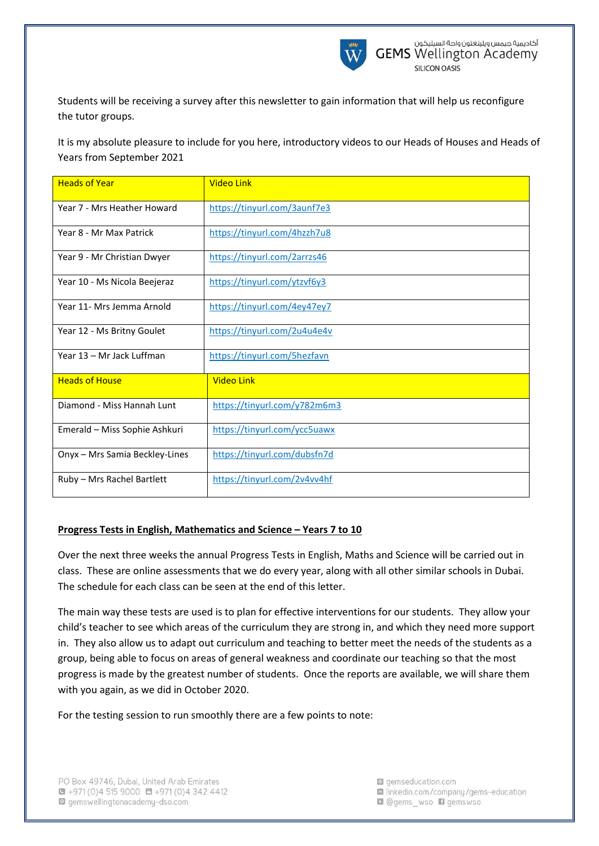

Students will be receiving a survey after this newsletter to gain information that will help us reconfigure the tutor groups.

It is my absolute pleasure to include for you here, introductory videos to our Heads of Houses and Heads of Years from September 2021

| <b>Heads of Year</b>           | <b>Video Link</b>            |
|--------------------------------|------------------------------|
| Year 7 - Mrs Heather Howard    | https://tinyurl.com/3aunf7e3 |
| Year 8 - Mr Max Patrick        | https://tinyurl.com/4hzzh7u8 |
| Year 9 - Mr Christian Dwyer    | https://tinyurl.com/2arrzs46 |
| Year 10 - Ms Nicola Beejeraz   | https://tinyurl.com/ytzvf6y3 |
| Year 11- Mrs Jemma Arnold      | https://tinyurl.com/4ey47ey7 |
| Year 12 - Ms Britny Goulet     | https://tinyurl.com/2u4u4e4v |
| Year 13 - Mr Jack Luffman      | https://tinyurl.com/5hezfavn |
| <b>Heads of House</b>          | <b>Video Link</b>            |
| Diamond - Miss Hannah Lunt     | https://tinyurl.com/y782m6m3 |
| Emerald - Miss Sophie Ashkuri  | https://tinyurl.com/ycc5uawx |
| Onyx - Mrs Samia Beckley-Lines | https://tinyurl.com/dubsfn7d |
| Ruby - Mrs Rachel Bartlett     | https://tinyurl.com/2v4vv4hf |

### **Progress Tests in English, Mathematics and Science – Years 7 to 10**

Over the next three weeks the annual Progress Tests in English, Maths and Science will be carried out in class. These are online assessments that we do every year, along with all other similar schools in Dubai. The schedule for each class can be seen at the end of this letter.

The main way these tests are used is to plan for effective interventions for our students. They allow your child's teacher to see which areas of the curriculum they are strong in, and which they need more support in. They also allow us to adapt out curriculum and teaching to better meet the needs of the students as a group, being able to focus on areas of general weakness and coordinate our teaching so that the most progress is made by the greatest number of students. Once the reports are available, we will share them with you again, as we did in October 2020.

For the testing session to run smoothly there are a few points to note: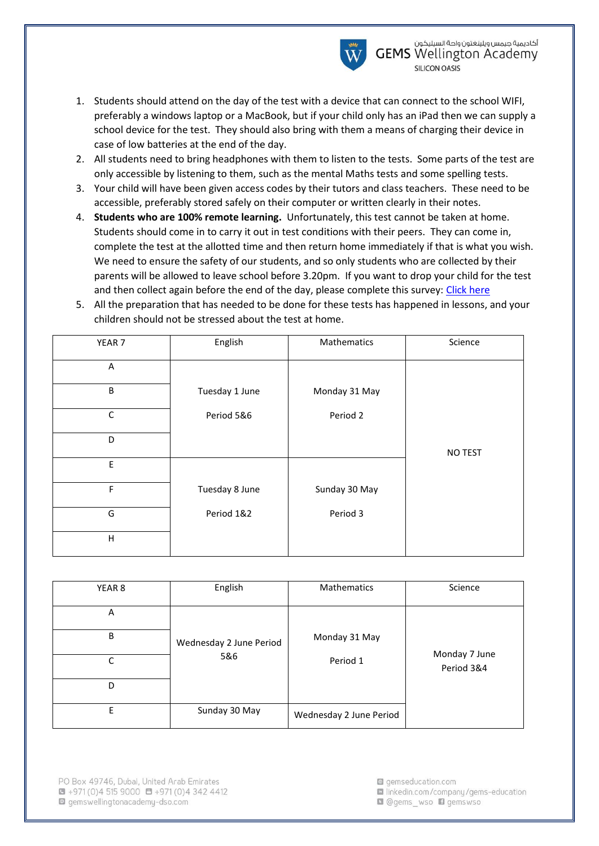

- 1. Students should attend on the day of the test with a device that can connect to the school WIFI, preferably a windows laptop or a MacBook, but if your child only has an iPad then we can supply a school device for the test. They should also bring with them a means of charging their device in case of low batteries at the end of the day.
- 2. All students need to bring headphones with them to listen to the tests. Some parts of the test are only accessible by listening to them, such as the mental Maths tests and some spelling tests.
- 3. Your child will have been given access codes by their tutors and class teachers. These need to be accessible, preferably stored safely on their computer or written clearly in their notes.
- 4. **Students who are 100% remote learning.** Unfortunately, this test cannot be taken at home. Students should come in to carry it out in test conditions with their peers. They can come in, complete the test at the allotted time and then return home immediately if that is what you wish. We need to ensure the safety of our students, and so only students who are collected by their parents will be allowed to leave school before 3.20pm. If you want to drop your child for the test and then collect again before the end of the day, please complete this survey: [Click here](https://forms.office.com/r/kn6A0x6ghA)
- 5. All the preparation that has needed to be done for these tests has happened in lessons, and your children should not be stressed about the test at home.

| YEAR 7      | English        | Mathematics   | Science |
|-------------|----------------|---------------|---------|
| Α           |                |               |         |
| B           | Tuesday 1 June | Monday 31 May |         |
| $\mathsf C$ | Period 5&6     | Period 2      |         |
| D           |                |               | NO TEST |
| E           |                |               |         |
| F           | Tuesday 8 June | Sunday 30 May |         |
| G           | Period 1&2     | Period 3      |         |
| $\sf H$     |                |               |         |

| YEAR 8 | English                 | <b>Mathematics</b>      | Science                     |
|--------|-------------------------|-------------------------|-----------------------------|
| Α      |                         |                         |                             |
| B      | Wednesday 2 June Period | Monday 31 May           |                             |
| C      | 5&6                     | Period 1                | Monday 7 June<br>Period 3&4 |
| D      |                         |                         |                             |
| F      | Sunday 30 May           | Wednesday 2 June Period |                             |

- la linkedin.com/company/gems-education
- **Q** @gems wso **D** gemswso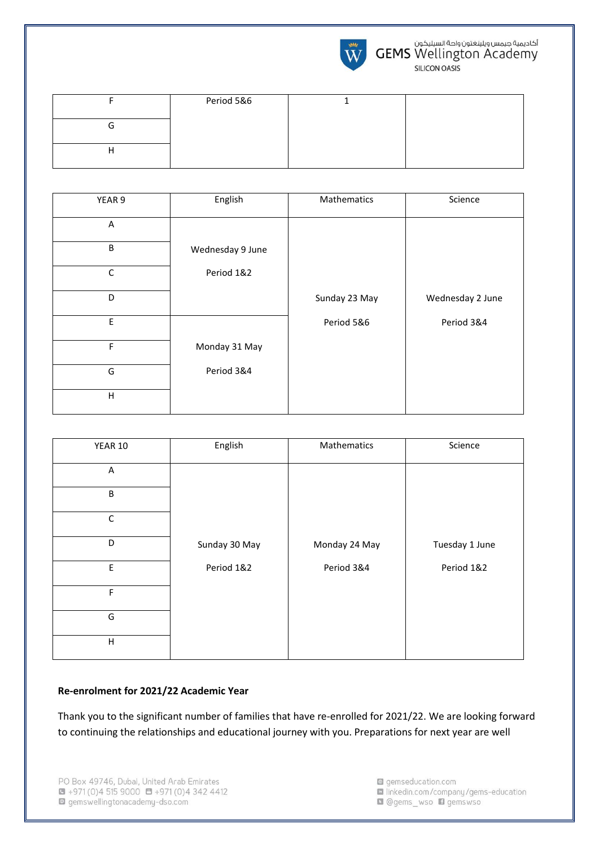

| Period 5&6 |  |
|------------|--|
|            |  |
|            |  |

| YEAR 9      | English          | Mathematics   | Science          |
|-------------|------------------|---------------|------------------|
| A           |                  |               |                  |
| $\sf B$     | Wednesday 9 June |               |                  |
| $\mathsf C$ | Period 1&2       |               |                  |
| D           |                  | Sunday 23 May | Wednesday 2 June |
| $\mathsf E$ |                  | Period 5&6    | Period 3&4       |
| F           | Monday 31 May    |               |                  |
| G           | Period 3&4       |               |                  |
| H           |                  |               |                  |

| YEAR 10     | English       | Mathematics   | Science        |
|-------------|---------------|---------------|----------------|
| A           |               |               |                |
| B           |               |               |                |
| $\mathsf C$ |               |               |                |
| D           | Sunday 30 May | Monday 24 May | Tuesday 1 June |
| $\mathsf E$ | Period 1&2    | Period 3&4    | Period 1&2     |
| F           |               |               |                |
| G           |               |               |                |
| $\sf H$     |               |               |                |

# **Re-enrolment for 2021/22 Academic Year**

Thank you to the significant number of families that have re-enrolled for 2021/22. We are looking forward to continuing the relationships and educational journey with you. Preparations for next year are well

gemseducation.com la linkedin.com/company/gems-education **Q** @gems\_wso **Q** gemswso